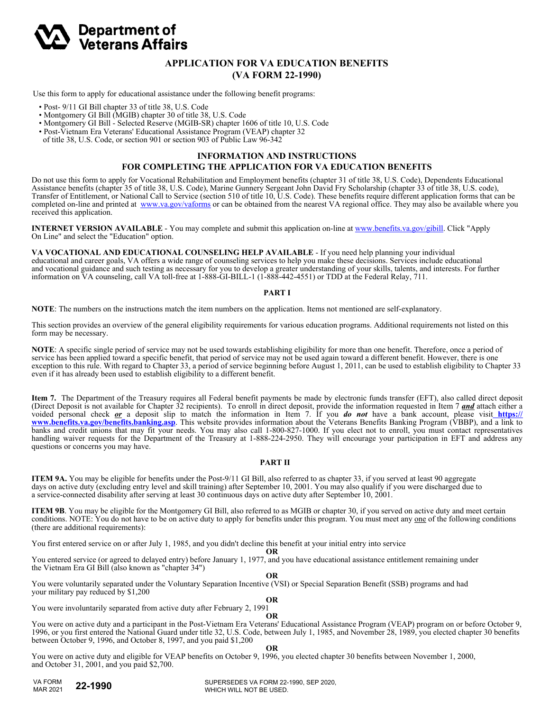

# **APPLICATION FOR VA EDUCATION BENEFITS (VA FORM 22-1990)**

Use this form to apply for educational assistance under the following benefit programs:

- Post- 9/11 GI Bill chapter 33 of title 38, U.S. Code
- Montgomery GI Bill (MGIB) chapter 30 of title 38, U.S. Code
- Montgomery GI Bill Selected Reserve (MGIB-SR) chapter 1606 of title 10, U.S. Code
- Post-Vietnam Era Veterans' Educational Assistance Program (VEAP) chapter 32
- of title 38, U.S. Code, or section 901 or section 903 of Public Law 96-342

## **INFORMATION AND INSTRUCTIONS FOR COMPLETING THE APPLICATION FOR VA EDUCATION BENEFITS**

Do not use this form to apply for Vocational Rehabilitation and Employment benefits (chapter 31 of title 38, U.S. Code), Dependents Educational Assistance benefits (chapter 35 of title 38, U.S. Code), Marine Gunnery Sergeant John David Fry Scholarship (chapter 33 of title 38, U.S. code), Transfer of Entitlement, or National Call to Service (section 510 of title 10, U.S. Code). These benefits require different application forms that can be completed on-line and printed at www.va.gov/vaforms or can be obtained from the nearest VA regional office. They may also be available where you received this application.

**INTERNET VERSION AVAILABLE** - You may complete and submit this application on-line at www.benefits.va.gov/gibill. Click "Apply On Line" and select the "Education" option.

**VA VOCATIONAL AND EDUCATIONAL COUNSELING HELP AVAILABLE** - If you need help planning your individual educational and career goals, VA offers a wide range of counseling services to help you make these decisions. Services include educational and vocational guidance and such testing as necessary for you to develop a greater understanding of your skills, talents, and interests. For further information on VA counseling, call VA toll-free at 1-888-GI-BILL-1 (1-888-442-4551) or TDD at the Federal Relay, 711.

#### **PART I**

**NOTE**: The numbers on the instructions match the item numbers on the application. Items not mentioned are self-explanatory.

This section provides an overview of the general eligibility requirements for various education programs. Additional requirements not listed on this form may be necessary.

**NOTE**: A specific single period of service may not be used towards establishing eligibility for more than one benefit. Therefore, once a period of service has been applied toward a specific benefit, that period of service may not be used again toward a different benefit. However, there is one exception to this rule. With regard to Chapter 33, a period of service beginning before August 1, 2011, can be used to establish eligibility to Chapter 33 even if it has already been used to establish eligibility to a different benefit.

**Item 7.** The Department of the Treasury requires all Federal benefit payments be made by electronic funds transfer (EFT), also called direct deposit (Direct Deposit is not available for Chapter 32 recipients). To enroll in direct deposit, provide the information requested in Item 7 *and* attach either a voided personal check *or* a deposit slip to match the information in Item 7. If you *do not* have a bank account, please visit **https:// www.benefits.va.gov/benefits.banking.asp**. This website provides information about the Veterans Benefits Banking Program (VBBP), and a link to banks and credit unions that may fit your needs. You may also call 1-800-827-1000. If you elect not to enroll, you must contact representatives handling waiver requests for the Department of the Treasury at 1-888-224-2950. They will encourage your participation in EFT and address any questions or concerns you may have.

#### **PART II**

**ITEM 9A.** You may be eligible for benefits under the Post-9/11 GI Bill, also referred to as chapter 33, if you served at least 90 aggregate days on active duty (excluding entry level and skill training) after September 10, 2001. You may also qualify if you were discharged due to a service-connected disability after serving at least 30 continuous days on active duty after September 10, 2001.

**ITEM 9B**. You may be eligible for the Montgomery GI Bill, also referred to as MGIB or chapter 30, if you served on active duty and meet certain conditions. NOTE: You do not have to be on active duty to apply for benefits under this program. You must meet any one of the following conditions (there are additional requirements):

You first entered service on or after July 1, 1985, and you didn't decline this benefit at your initial entry into service<br>OR

**OR** 

You entered service (or agreed to delayed entry) before January 1, 1977, and you have educational assistance entitlement remaining under the Vietnam Era GI Bill (also known as "chapter 34")

**OR** You were voluntarily separated under the Voluntary Separation Incentive (VSI) or Special Separation Benefit (SSB) programs and had your military pay reduced by \$1,200

You were involuntarily separated from active duty after February 2, 1991

You were on active duty and a participant in the Post-Vietnam Era Veterans' Educational Assistance Program (VEAP) program on or before October 9, 1996, or you first entered the National Guard under title 32, U.S. Code, between July 1, 1985, and November 28, 1989, you elected chapter 30 benefits between October 9, 1996, and October 8, 1997, and you paid \$1,200

**OR**

**OR**

**OR** You were on active duty and eligible for VEAP benefits on October 9, 1996, you elected chapter 30 benefits between November 1, 2000, and October 31, 2001, and you paid \$2,700.

VA FORM MAR 2021

**22-1990** SUPERSEDES VA FORM 22-1990, SEP 2020, WHICH WILL NOT BE USED.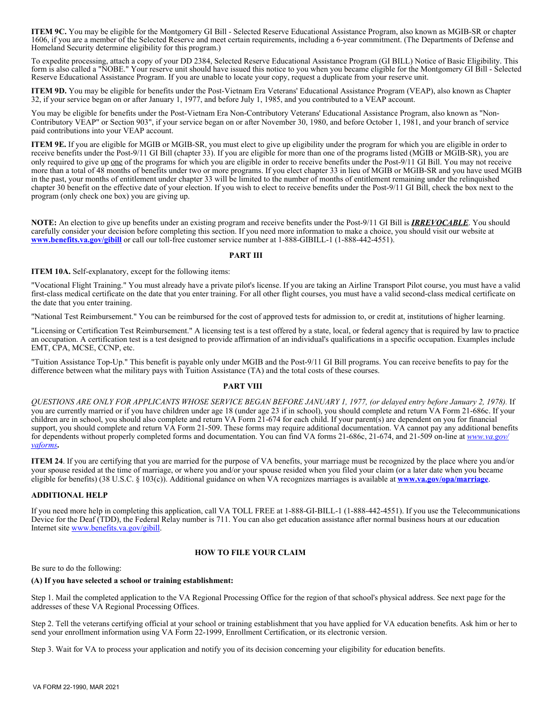**ITEM 9C.** You may be eligible for the Montgomery GI Bill - Selected Reserve Educational Assistance Program, also known as MGIB-SR or chapter 1606, if you are a member of the Selected Reserve and meet certain requirements, including a 6-year commitment. (The Departments of Defense and Homeland Security determine eligibility for this program.)

To expedite processing, attach a copy of your DD 2384, Selected Reserve Educational Assistance Program (GI BILL) Notice of Basic Eligibility. This form is also called a "NOBE." Your reserve unit should have issued this notice to you when you became eligible for the Montgomery GI Bill - Selected Reserve Educational Assistance Program. If you are unable to locate your copy, request a duplicate from your reserve unit.

**ITEM 9D.** You may be eligible for benefits under the Post-Vietnam Era Veterans' Educational Assistance Program (VEAP), also known as Chapter 32, if your service began on or after January 1, 1977, and before July 1, 1985, and you contributed to a VEAP account.

You may be eligible for benefits under the Post-Vietnam Era Non-Contributory Veterans' Educational Assistance Program, also known as "Non-Contributory VEAP" or Section 903", if your service began on or after November 30, 1980, and before October 1, 1981, and your branch of service paid contributions into your VEAP account.

**ITEM 9E.** If you are eligible for MGIB or MGIB-SR, you must elect to give up eligibility under the program for which you are eligible in order to receive benefits under the Post-9/11 GI Bill (chapter 33). If you are eligible for more than one of the programs listed (MGIB or MGIB-SR), you are only required to give up one of the programs for which you are eligible in order to receive benefits under the Post-9/11 GI Bill. You may not receive more than a total of 48 months of benefits under two or more programs. If you elect chapter 33 in lieu of MGIB or MGIB-SR and you have used MGIB in the past, your months of entitlement under chapter 33 will be limited to the number of months of entitlement remaining under the relinquished chapter 30 benefit on the effective date of your election. If you wish to elect to receive benefits under the Post-9/11 GI Bill, check the box next to the program (only check one box) you are giving up.

**NOTE:** An election to give up benefits under an existing program and receive benefits under the Post-9/11 GI Bill is *IRREVOCABLE*. You should carefully consider your decision before completing this section. If you need more information to make a choice, you should visit our website at **www.benefits.va.gov/gibill** or call our toll-free customer service number at 1-888-GIBILL-1 (1-888-442-4551).

#### **PART III**

**ITEM 10A.** Self-explanatory, except for the following items:

"Vocational Flight Training." You must already have a private pilot's license. If you are taking an Airline Transport Pilot course, you must have a valid first-class medical certificate on the date that you enter training. For all other flight courses, you must have a valid second-class medical certificate on the date that you enter training.

"National Test Reimbursement." You can be reimbursed for the cost of approved tests for admission to, or credit at, institutions of higher learning.

"Licensing or Certification Test Reimbursement." A licensing test is a test offered by a state, local, or federal agency that is required by law to practice an occupation. A certification test is a test designed to provide affirmation of an individual's qualifications in a specific occupation. Examples include EMT, CPA, MCSE, CCNP, etc.

"Tuition Assistance Top-Up." This benefit is payable only under MGIB and the Post-9/11 GI Bill programs. You can receive benefits to pay for the difference between what the military pays with Tuition Assistance (TA) and the total costs of these courses.

## **PART VIII**

*QUESTIONS ARE ONLY FOR APPLICANTS WHOSE SERVICE BEGAN BEFORE JANUARY 1, 1977, (or delayed entry before January 2, 1978).* If you are currently married or if you have children under age 18 (under age 23 if in school), you should complete and return VA Form 21-686c. If your children are in school, you should also complete and return VA Form 21-674 for each child. If your parent(s) are dependent on you for financial support, you should complete and return VA Form 21-509. These forms may require additional documentation. VA cannot pay any additional benefits for dependents without properly completed forms and documentation. You can find VA forms 21-686c, 21-674, and 21-509 on-line at *www.va.gov/ vaforms***.** 

**ITEM 24**. If you are certifying that you are married for the purpose of VA benefits, your marriage must be recognized by the place where you and/or your spouse resided at the time of marriage, or where you and/or your spouse resided when you filed your claim (or a later date when you became eligible for benefits) (38 U.S.C. § 103(c)). Additional guidance on when VA recognizes marriages is available at **www.va.gov/opa/marriage**.

## **ADDITIONAL HELP**

If you need more help in completing this application, call VA TOLL FREE at 1-888-GI-BILL-1 (1-888-442-4551). If you use the Telecommunications Device for the Deaf (TDD), the Federal Relay number is 711. You can also get education assistance after normal business hours at our education Internet site www.benefits.va.gov/gibill.

## **HOW TO FILE YOUR CLAIM**

Be sure to do the following:

#### **(A) If you have selected a school or training establishment:**

Step 1. Mail the completed application to the VA Regional Processing Office for the region of that school's physical address. See next page for the addresses of these VA Regional Processing Offices.

Step 2. Tell the veterans certifying official at your school or training establishment that you have applied for VA education benefits. Ask him or her to send your enrollment information using VA Form 22-1999, Enrollment Certification, or its electronic version.

Step 3. Wait for VA to process your application and notify you of its decision concerning your eligibility for education benefits.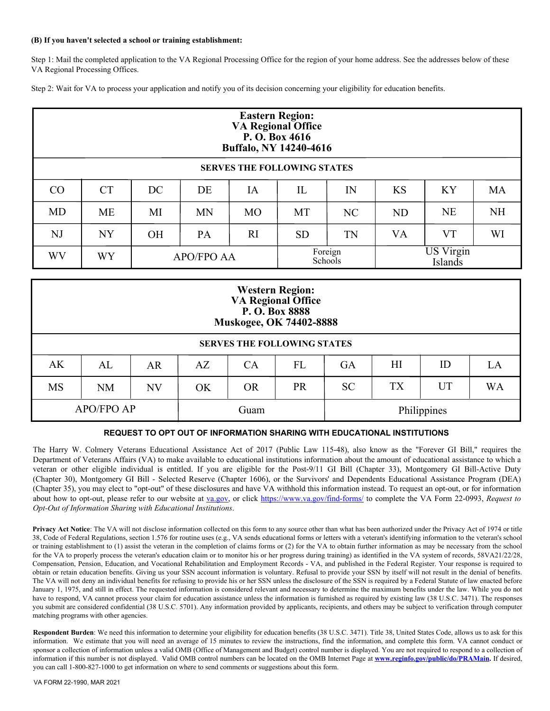### **(B) If you haven't selected a school or training establishment:**

Step 1: Mail the completed application to the VA Regional Processing Office for the region of your home address. See the addresses below of these VA Regional Processing Offices.

Step 2: Wait for VA to process your application and notify you of its decision concerning your eligibility for education benefits.

| <b>Eastern Region:</b><br><b>VA Regional Office</b><br>P. O. Box $4616$<br>Buffalo, NY 14240-4616 |                 |                   |           |           |                                                   |                |           |           |           |
|---------------------------------------------------------------------------------------------------|-----------------|-------------------|-----------|-----------|---------------------------------------------------|----------------|-----------|-----------|-----------|
| <b>SERVES THE FOLLOWING STATES</b>                                                                |                 |                   |           |           |                                                   |                |           |           |           |
| CO                                                                                                | <b>CT</b>       | DC                | DE        | IA        | IL                                                | IN             | <b>KS</b> | KY        | <b>MA</b> |
| <b>MD</b>                                                                                         | <b>ME</b>       | MI                | <b>MN</b> | <b>MO</b> | MT                                                | N <sub>C</sub> | <b>ND</b> | <b>NE</b> | <b>NH</b> |
| NJ                                                                                                | <b>NY</b>       | <b>OH</b>         | PA        | RI        | <b>SD</b>                                         | TN             | VA        | VT        | WI        |
| <b>WV</b>                                                                                         | WY <sup>-</sup> | <b>APO/FPO AA</b> |           |           | <b>US Virgin</b><br>Foreign<br>Schools<br>Islands |                |           |           |           |

| <b>Western Region:</b><br><b>VA Regional Office</b><br>P. O. Box 8888<br>Muskogee, OK 74402-8888 |                                                                                                     |    |      |    |    |             |     |    |    |
|--------------------------------------------------------------------------------------------------|-----------------------------------------------------------------------------------------------------|----|------|----|----|-------------|-----|----|----|
| <b>SERVES THE FOLLOWING STATES</b>                                                               |                                                                                                     |    |      |    |    |             |     |    |    |
| AK                                                                                               | AL                                                                                                  | AR | AZ   | CA | FL | <b>GA</b>   | H I | ID | LA |
| <b>MS</b>                                                                                        | <b>TX</b><br><b>UT</b><br><b>WA</b><br><b>PR</b><br><b>SC</b><br><b>OR</b><br>NM<br><b>NV</b><br>OK |    |      |    |    |             |     |    |    |
| <b>APO/FPO AP</b>                                                                                |                                                                                                     |    | Guam |    |    | Philippines |     |    |    |

## **REQUEST TO OPT OUT OF INFORMATION SHARING WITH EDUCATIONAL INSTITUTIONS**

The Harry W. Colmery Veterans Educational Assistance Act of 2017 (Public Law 115-48), also know as the "Forever GI Bill," requires the Department of Veterans Affairs (VA) to make available to educational institutions information about the amount of educational assistance to which a veteran or other eligible individual is entitled. If you are eligible for the Post-9/11 GI Bill (Chapter 33), Montgomery GI Bill-Active Duty (Chapter 30), Montgomery GI Bill - Selected Reserve (Chapter 1606), or the Survivors' and Dependents Educational Assistance Program (DEA) (Chapter 35), you may elect to "opt-out" of these disclosures and have VA withhold this information instead. To request an opt-out, or for information about how to opt-out, please refer to our website at va.gov, or click https://www.va.gov/find-forms/ to complete the VA Form 22-0993, *Request to Opt-Out of Information Sharing with Educational Institutions*.

**Privacy Act Notice**: The VA will not disclose information collected on this form to any source other than what has been authorized under the Privacy Act of 1974 or title 38, Code of Federal Regulations, section 1.576 for routine uses (e.g., VA sends educational forms or letters with a veteran's identifying information to the veteran's school or training establishment to (1) assist the veteran in the completion of claims forms or (2) for the VA to obtain further information as may be necessary from the school for the VA to properly process the veteran's education claim or to monitor his or her progress during training) as identified in the VA system of records, 58VA21/22/28, Compensation, Pension, Education, and Vocational Rehabilitation and Employment Records - VA, and published in the Federal Register. Your response is required to obtain or retain education benefits. Giving us your SSN account information is voluntary. Refusal to provide your SSN by itself will not result in the denial of benefits. The VA will not deny an individual benefits for refusing to provide his or her SSN unless the disclosure of the SSN is required by a Federal Statute of law enacted before January 1, 1975, and still in effect. The requested information is considered relevant and necessary to determine the maximum benefits under the law. While you do not have to respond, VA cannot process your claim for education assistance unless the information is furnished as required by existing law (38 U.S.C. 3471). The responses you submit are considered confidential (38 U.S.C. 5701). Any information provided by applicants, recipients, and others may be subject to verification through computer matching programs with other agencies.

**Respondent Burden**: We need this information to determine your eligibility for education benefits (38 U.S.C. 3471). Title 38, United States Code, allows us to ask for this information. We estimate that you will need an average of 15 minutes to review the instructions, find the information, and complete this form. VA cannot conduct or sponsor a collection of information unless a valid OMB (Office of Management and Budget) control number is displayed. You are not required to respond to a collection of information if this number is not displayed. Valid OMB control numbers can be located on the OMB Internet Page at **www.reginfo.gov/public/do/PRAMain.** If desired, you can call 1-800-827-1000 to get information on where to send comments or suggestions about this form.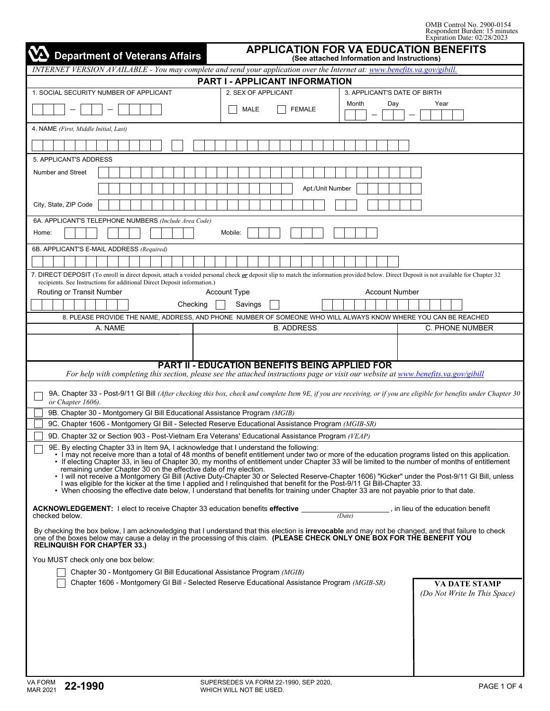| <b>APPLICATION FOR VA EDUCATION BENEFITS</b><br><b>Department of Veterans Affairs</b><br>(See attached Information and Instructions)                                                                                                                                                                                                                                                                                                                                                                                                                                                                                                                                                                                                                                                                                                                                                           |                                                       |                                                                                                                                                                     |  |  |  |  |  |
|------------------------------------------------------------------------------------------------------------------------------------------------------------------------------------------------------------------------------------------------------------------------------------------------------------------------------------------------------------------------------------------------------------------------------------------------------------------------------------------------------------------------------------------------------------------------------------------------------------------------------------------------------------------------------------------------------------------------------------------------------------------------------------------------------------------------------------------------------------------------------------------------|-------------------------------------------------------|---------------------------------------------------------------------------------------------------------------------------------------------------------------------|--|--|--|--|--|
| INTERNET VERSION AVAILABLE - You may complete and send your application over the Internet at: www.benefits.va.gov/gibill.                                                                                                                                                                                                                                                                                                                                                                                                                                                                                                                                                                                                                                                                                                                                                                      |                                                       |                                                                                                                                                                     |  |  |  |  |  |
| PART I - APPLICANT INFORMATION                                                                                                                                                                                                                                                                                                                                                                                                                                                                                                                                                                                                                                                                                                                                                                                                                                                                 |                                                       |                                                                                                                                                                     |  |  |  |  |  |
| 1. SOCIAL SECURITY NUMBER OF APPLICANT                                                                                                                                                                                                                                                                                                                                                                                                                                                                                                                                                                                                                                                                                                                                                                                                                                                         | 2. SEX OF APPLICANT                                   | 3. APPLICANT'S DATE OF BIRTH                                                                                                                                        |  |  |  |  |  |
|                                                                                                                                                                                                                                                                                                                                                                                                                                                                                                                                                                                                                                                                                                                                                                                                                                                                                                | MALE<br><b>FEMALE</b>                                 | Month<br>Day<br>Year                                                                                                                                                |  |  |  |  |  |
| 4. NAME (First, Middle Initial, Last)                                                                                                                                                                                                                                                                                                                                                                                                                                                                                                                                                                                                                                                                                                                                                                                                                                                          |                                                       |                                                                                                                                                                     |  |  |  |  |  |
|                                                                                                                                                                                                                                                                                                                                                                                                                                                                                                                                                                                                                                                                                                                                                                                                                                                                                                |                                                       |                                                                                                                                                                     |  |  |  |  |  |
| 5. APPLICANT'S ADDRESS                                                                                                                                                                                                                                                                                                                                                                                                                                                                                                                                                                                                                                                                                                                                                                                                                                                                         |                                                       |                                                                                                                                                                     |  |  |  |  |  |
| Number and Street                                                                                                                                                                                                                                                                                                                                                                                                                                                                                                                                                                                                                                                                                                                                                                                                                                                                              |                                                       |                                                                                                                                                                     |  |  |  |  |  |
|                                                                                                                                                                                                                                                                                                                                                                                                                                                                                                                                                                                                                                                                                                                                                                                                                                                                                                | Apt./Unit Number                                      |                                                                                                                                                                     |  |  |  |  |  |
| City, State, ZIP Code                                                                                                                                                                                                                                                                                                                                                                                                                                                                                                                                                                                                                                                                                                                                                                                                                                                                          |                                                       |                                                                                                                                                                     |  |  |  |  |  |
| 6A. APPLICANT'S TELEPHONE NUMBERS (Include Area Code)                                                                                                                                                                                                                                                                                                                                                                                                                                                                                                                                                                                                                                                                                                                                                                                                                                          |                                                       |                                                                                                                                                                     |  |  |  |  |  |
| Home:                                                                                                                                                                                                                                                                                                                                                                                                                                                                                                                                                                                                                                                                                                                                                                                                                                                                                          | Mobile:                                               |                                                                                                                                                                     |  |  |  |  |  |
| 6B. APPLICANT'S E-MAIL ADDRESS (Required)                                                                                                                                                                                                                                                                                                                                                                                                                                                                                                                                                                                                                                                                                                                                                                                                                                                      |                                                       |                                                                                                                                                                     |  |  |  |  |  |
|                                                                                                                                                                                                                                                                                                                                                                                                                                                                                                                                                                                                                                                                                                                                                                                                                                                                                                |                                                       |                                                                                                                                                                     |  |  |  |  |  |
| 7. DIRECT DEPOSIT (To enroll in direct deposit, attach a voided personal check or deposit slip to match the information provided below. Direct Deposit is not available for Chapter 32                                                                                                                                                                                                                                                                                                                                                                                                                                                                                                                                                                                                                                                                                                         |                                                       |                                                                                                                                                                     |  |  |  |  |  |
| recipients. See Instructions for additional Direct Deposit information.)                                                                                                                                                                                                                                                                                                                                                                                                                                                                                                                                                                                                                                                                                                                                                                                                                       |                                                       |                                                                                                                                                                     |  |  |  |  |  |
| Routing or Transit Number                                                                                                                                                                                                                                                                                                                                                                                                                                                                                                                                                                                                                                                                                                                                                                                                                                                                      | <b>Account Type</b>                                   | <b>Account Number</b>                                                                                                                                               |  |  |  |  |  |
| Checking                                                                                                                                                                                                                                                                                                                                                                                                                                                                                                                                                                                                                                                                                                                                                                                                                                                                                       | Savings                                               |                                                                                                                                                                     |  |  |  |  |  |
| 8. PLEASE PROVIDE THE NAME, ADDRESS, AND PHONE NUMBER OF SOMEONE WHO WILL ALWAYS KNOW WHERE YOU CAN BE REACHED<br>A. NAME                                                                                                                                                                                                                                                                                                                                                                                                                                                                                                                                                                                                                                                                                                                                                                      | <b>B. ADDRESS</b>                                     | C. PHONE NUMBER                                                                                                                                                     |  |  |  |  |  |
|                                                                                                                                                                                                                                                                                                                                                                                                                                                                                                                                                                                                                                                                                                                                                                                                                                                                                                |                                                       |                                                                                                                                                                     |  |  |  |  |  |
|                                                                                                                                                                                                                                                                                                                                                                                                                                                                                                                                                                                                                                                                                                                                                                                                                                                                                                |                                                       |                                                                                                                                                                     |  |  |  |  |  |
| For help with completing this section, please see the attached instructions page or visit our website at www.benefits.va.gov/gibill                                                                                                                                                                                                                                                                                                                                                                                                                                                                                                                                                                                                                                                                                                                                                            | <b>PART II - EDUCATION BENEFITS BEING APPLIED FOR</b> |                                                                                                                                                                     |  |  |  |  |  |
| or Chapter 1606).                                                                                                                                                                                                                                                                                                                                                                                                                                                                                                                                                                                                                                                                                                                                                                                                                                                                              |                                                       | 9A. Chapter 33 - Post-9/11 GI Bill (After checking this box, check and complete Item 9E, if you are receiving, or if you are eligible for benefits under Chapter 30 |  |  |  |  |  |
| 9B. Chapter 30 - Montgomery GI Bill Educational Assistance Program (MGIB)                                                                                                                                                                                                                                                                                                                                                                                                                                                                                                                                                                                                                                                                                                                                                                                                                      |                                                       |                                                                                                                                                                     |  |  |  |  |  |
| 9C. Chapter 1606 - Montgomery GI Bill - Selected Reserve Educational Assistance Program (MGIB-SR)                                                                                                                                                                                                                                                                                                                                                                                                                                                                                                                                                                                                                                                                                                                                                                                              |                                                       |                                                                                                                                                                     |  |  |  |  |  |
| 9D. Chapter 32 or Section 903 - Post-Vietnam Era Veterans' Educational Assistance Program (VEAP)                                                                                                                                                                                                                                                                                                                                                                                                                                                                                                                                                                                                                                                                                                                                                                                               |                                                       |                                                                                                                                                                     |  |  |  |  |  |
| 9E. By electing Chapter 33 in Item 9A, I acknowledge that I understand the following:<br>• I may not receive more than a total of 48 months of benefit entitlement under two or more of the education programs listed on this application.<br>• If electing Chapter 33, in lieu of Chapter 30, my months of entitlement under Chapter 33 will be limited to the number of months of entitlement<br>remaining under Chapter 30 on the effective date of my election.<br>· I will not receive a Montgomery GI Bill (Active Duty-Chapter 30 or Selected Reserve-Chapter 1606) "Kicker" under the Post-9/11 GI Bill, unless<br>l was eligible for the kicker at the time I applied and I relinguished that benefit for the Post-9/11 GI Bill-Chapter 33.<br>• When choosing the effective date below, I understand that benefits for training under Chapter 33 are not payable prior to that date. |                                                       |                                                                                                                                                                     |  |  |  |  |  |
| <b>ACKNOWLEDGEMENT:</b> I elect to receive Chapter 33 education benefits <b>effective</b><br>checked below.                                                                                                                                                                                                                                                                                                                                                                                                                                                                                                                                                                                                                                                                                                                                                                                    |                                                       | , in lieu of the education benefit<br>(Date)                                                                                                                        |  |  |  |  |  |
| By checking the box below, I am acknowledging that I understand that this election is <b>irrevocable</b> and may not be changed, and that failure to check<br>one of the boxes below may cause a delay in the processing of this claim. (PLEASE CHECK ONLY ONE BOX FOR THE BENEFIT YOU                                                                                                                                                                                                                                                                                                                                                                                                                                                                                                                                                                                                         |                                                       |                                                                                                                                                                     |  |  |  |  |  |
| <b>RELINQUISH FOR CHAPTER 33.)</b>                                                                                                                                                                                                                                                                                                                                                                                                                                                                                                                                                                                                                                                                                                                                                                                                                                                             |                                                       |                                                                                                                                                                     |  |  |  |  |  |
| You MUST check only one box below:                                                                                                                                                                                                                                                                                                                                                                                                                                                                                                                                                                                                                                                                                                                                                                                                                                                             |                                                       |                                                                                                                                                                     |  |  |  |  |  |
| Chapter 30 - Montgomery GI Bill Educational Assistance Program (MGIB)                                                                                                                                                                                                                                                                                                                                                                                                                                                                                                                                                                                                                                                                                                                                                                                                                          |                                                       |                                                                                                                                                                     |  |  |  |  |  |
| Chapter 1606 - Montgomery GI Bill - Selected Reserve Educational Assistance Program (MGIB-SR)                                                                                                                                                                                                                                                                                                                                                                                                                                                                                                                                                                                                                                                                                                                                                                                                  |                                                       | <b>VA DATE STAMP</b><br>(Do Not Write In This Space)                                                                                                                |  |  |  |  |  |
|                                                                                                                                                                                                                                                                                                                                                                                                                                                                                                                                                                                                                                                                                                                                                                                                                                                                                                |                                                       |                                                                                                                                                                     |  |  |  |  |  |
|                                                                                                                                                                                                                                                                                                                                                                                                                                                                                                                                                                                                                                                                                                                                                                                                                                                                                                |                                                       |                                                                                                                                                                     |  |  |  |  |  |
|                                                                                                                                                                                                                                                                                                                                                                                                                                                                                                                                                                                                                                                                                                                                                                                                                                                                                                |                                                       |                                                                                                                                                                     |  |  |  |  |  |
|                                                                                                                                                                                                                                                                                                                                                                                                                                                                                                                                                                                                                                                                                                                                                                                                                                                                                                |                                                       |                                                                                                                                                                     |  |  |  |  |  |
|                                                                                                                                                                                                                                                                                                                                                                                                                                                                                                                                                                                                                                                                                                                                                                                                                                                                                                |                                                       |                                                                                                                                                                     |  |  |  |  |  |
|                                                                                                                                                                                                                                                                                                                                                                                                                                                                                                                                                                                                                                                                                                                                                                                                                                                                                                |                                                       |                                                                                                                                                                     |  |  |  |  |  |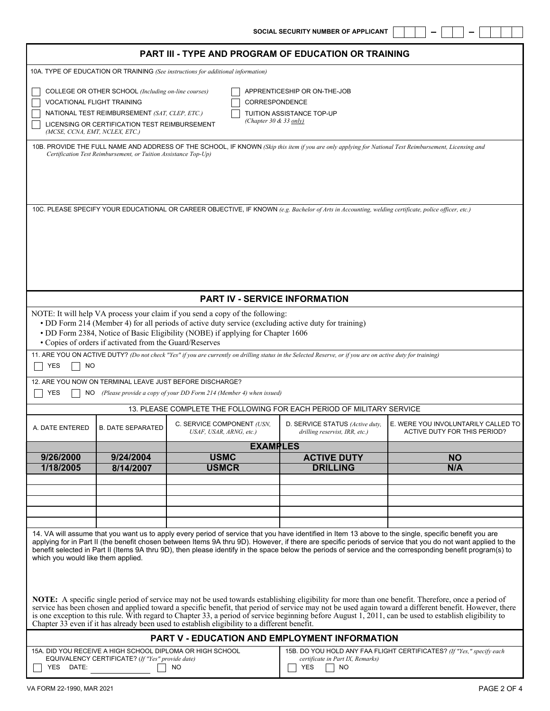- 1  $\qquad \qquad \longleftarrow$   $\qquad \qquad \blacksquare$ 

| <b>PART III - TYPE AND PROGRAM OF EDUCATION OR TRAINING</b>                                                                                                                                                                                                                                                                                                                                                                                                                                                                                                           |                                                                                                                                                                                                                                                                                                                                          |                                                                                                                                                             |                                                                   |                                                                     |  |  |  |  |  |
|-----------------------------------------------------------------------------------------------------------------------------------------------------------------------------------------------------------------------------------------------------------------------------------------------------------------------------------------------------------------------------------------------------------------------------------------------------------------------------------------------------------------------------------------------------------------------|------------------------------------------------------------------------------------------------------------------------------------------------------------------------------------------------------------------------------------------------------------------------------------------------------------------------------------------|-------------------------------------------------------------------------------------------------------------------------------------------------------------|-------------------------------------------------------------------|---------------------------------------------------------------------|--|--|--|--|--|
| 10A. TYPE OF EDUCATION OR TRAINING (See instructions for additional information)                                                                                                                                                                                                                                                                                                                                                                                                                                                                                      |                                                                                                                                                                                                                                                                                                                                          |                                                                                                                                                             |                                                                   |                                                                     |  |  |  |  |  |
|                                                                                                                                                                                                                                                                                                                                                                                                                                                                                                                                                                       | COLLEGE OR OTHER SCHOOL (Including on-line courses)<br>APPRENTICESHIP OR ON-THE-JOB<br><b>VOCATIONAL FLIGHT TRAINING</b><br>CORRESPONDENCE<br>NATIONAL TEST REIMBURSEMENT (SAT, CLEP, ETC.)<br>TUITION ASSISTANCE TOP-UP<br>(Chapter 30 $\&$ 33 only)<br>LICENSING OR CERTIFICATION TEST REIMBURSEMENT<br>(MCSE, CCNA, EMT, NCLEX, ETC.) |                                                                                                                                                             |                                                                   |                                                                     |  |  |  |  |  |
|                                                                                                                                                                                                                                                                                                                                                                                                                                                                                                                                                                       | 10B. PROVIDE THE FULL NAME AND ADDRESS OF THE SCHOOL, IF KNOWN (Skip this item if you are only applying for National Test Reimbursement, Licensing and<br>Certification Test Reimbursement, or Tuition Assistance Top-Up)                                                                                                                |                                                                                                                                                             |                                                                   |                                                                     |  |  |  |  |  |
|                                                                                                                                                                                                                                                                                                                                                                                                                                                                                                                                                                       |                                                                                                                                                                                                                                                                                                                                          | 10C. PLEASE SPECIFY YOUR EDUCATIONAL OR CAREER OBJECTIVE, IF KNOWN (e.g. Bachelor of Arts in Accounting, welding certificate, police officer, etc.)         |                                                                   |                                                                     |  |  |  |  |  |
|                                                                                                                                                                                                                                                                                                                                                                                                                                                                                                                                                                       |                                                                                                                                                                                                                                                                                                                                          | <b>PART IV - SERVICE INFORMATION</b>                                                                                                                        |                                                                   |                                                                     |  |  |  |  |  |
|                                                                                                                                                                                                                                                                                                                                                                                                                                                                                                                                                                       | NOTE: It will help VA process your claim if you send a copy of the following:<br>• DD Form 214 (Member 4) for all periods of active duty service (excluding active duty for training)<br>• DD Form 2384, Notice of Basic Eligibility (NOBE) if applying for Chapter 1606<br>• Copies of orders if activated from the Guard/Reserves      |                                                                                                                                                             |                                                                   |                                                                     |  |  |  |  |  |
| YES<br><b>NO</b>                                                                                                                                                                                                                                                                                                                                                                                                                                                                                                                                                      |                                                                                                                                                                                                                                                                                                                                          | 11. ARE YOU ON ACTIVE DUTY? (Do not check "Yes" if you are currently on drilling status in the Selected Reserve, or if you are on active duty for training) |                                                                   |                                                                     |  |  |  |  |  |
| YES<br>NO.                                                                                                                                                                                                                                                                                                                                                                                                                                                                                                                                                            |                                                                                                                                                                                                                                                                                                                                          | 12. ARE YOU NOW ON TERMINAL LEAVE JUST BEFORE DISCHARGE?<br>(Please provide a copy of your DD Form 214 (Member 4) when issued)                              |                                                                   |                                                                     |  |  |  |  |  |
|                                                                                                                                                                                                                                                                                                                                                                                                                                                                                                                                                                       |                                                                                                                                                                                                                                                                                                                                          | 13. PLEASE COMPLETE THE FOLLOWING FOR EACH PERIOD OF MILITARY SERVICE                                                                                       |                                                                   |                                                                     |  |  |  |  |  |
| A. DATE ENTERED                                                                                                                                                                                                                                                                                                                                                                                                                                                                                                                                                       | <b>B. DATE SEPARATED</b>                                                                                                                                                                                                                                                                                                                 | C. SERVICE COMPONENT (USN,<br>USAF, USAR, ARNG, etc.)                                                                                                       | D. SERVICE STATUS (Active duty,<br>drilling reservist, IRR, etc.) | E. WERE YOU INVOLUNTARILY CALLED TO<br>ACTIVE DUTY FOR THIS PERIOD? |  |  |  |  |  |
|                                                                                                                                                                                                                                                                                                                                                                                                                                                                                                                                                                       |                                                                                                                                                                                                                                                                                                                                          | <b>EXAMPLES</b>                                                                                                                                             |                                                                   |                                                                     |  |  |  |  |  |
| 9/26/2000                                                                                                                                                                                                                                                                                                                                                                                                                                                                                                                                                             | 9/24/2004                                                                                                                                                                                                                                                                                                                                | <b>USMC</b>                                                                                                                                                 | <b>ACTIVE DUTY</b>                                                | <b>NO</b>                                                           |  |  |  |  |  |
| 1/18/2005                                                                                                                                                                                                                                                                                                                                                                                                                                                                                                                                                             | 8/14/2007                                                                                                                                                                                                                                                                                                                                | <b>USMCR</b>                                                                                                                                                | <b>DRILLING</b>                                                   | N/A                                                                 |  |  |  |  |  |
|                                                                                                                                                                                                                                                                                                                                                                                                                                                                                                                                                                       |                                                                                                                                                                                                                                                                                                                                          |                                                                                                                                                             |                                                                   |                                                                     |  |  |  |  |  |
|                                                                                                                                                                                                                                                                                                                                                                                                                                                                                                                                                                       |                                                                                                                                                                                                                                                                                                                                          |                                                                                                                                                             |                                                                   |                                                                     |  |  |  |  |  |
|                                                                                                                                                                                                                                                                                                                                                                                                                                                                                                                                                                       |                                                                                                                                                                                                                                                                                                                                          |                                                                                                                                                             |                                                                   |                                                                     |  |  |  |  |  |
| 14. VA will assume that you want us to apply every period of service that you have identified in Item 13 above to the single, specific benefit you are<br>applying for in Part II (the benefit chosen between Items 9A thru 9D). However, if there are specific periods of service that you do not want applied to the<br>benefit selected in Part II (Items 9A thru 9D), then please identify in the space below the periods of service and the corresponding benefit program(s) to<br>which you would like them applied.                                            |                                                                                                                                                                                                                                                                                                                                          |                                                                                                                                                             |                                                                   |                                                                     |  |  |  |  |  |
| NOTE: A specific single period of service may not be used towards establishing eligibility for more than one benefit. Therefore, once a period of<br>service has been chosen and applied toward a specific benefit, that period of service may not be used again toward a different benefit. However, there<br>is one exception to this rule. With regard to Chapter 33, a period of service beginning before August 1, 2011, can be used to establish eligibility to<br>Chapter 33 even if it has already been used to establish eligibility to a different benefit. |                                                                                                                                                                                                                                                                                                                                          |                                                                                                                                                             |                                                                   |                                                                     |  |  |  |  |  |
|                                                                                                                                                                                                                                                                                                                                                                                                                                                                                                                                                                       |                                                                                                                                                                                                                                                                                                                                          | PART V - EDUCATION AND EMPLOYMENT INFORMATION                                                                                                               |                                                                   |                                                                     |  |  |  |  |  |
| 15A. DID YOU RECEIVE A HIGH SCHOOL DIPLOMA OR HIGH SCHOOL<br>15B. DO YOU HOLD ANY FAA FLIGHT CERTIFICATES? (If "Yes," specify each<br>EQUIVALENCY CERTIFICATE? (If "Yes" provide date)<br>certificate in Part IX, Remarks)<br>YES<br>DATE:<br><b>NO</b><br><b>YES</b><br><b>NO</b>                                                                                                                                                                                                                                                                                    |                                                                                                                                                                                                                                                                                                                                          |                                                                                                                                                             |                                                                   |                                                                     |  |  |  |  |  |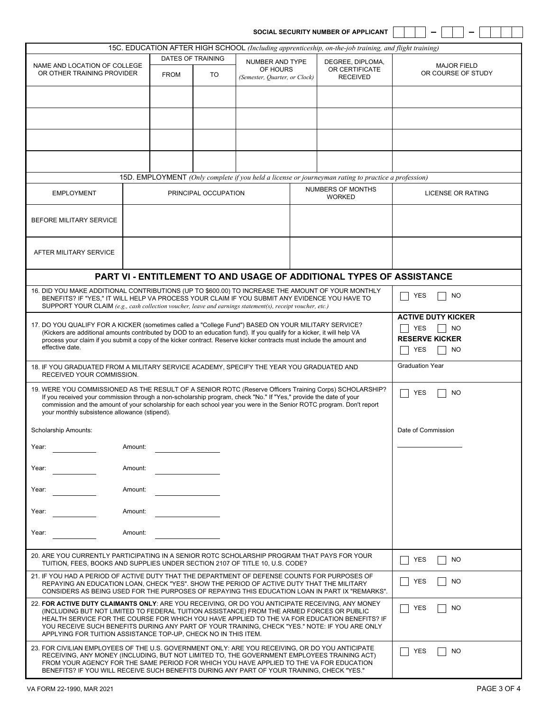|                                                                                                                                                                                                                                           |         |                                                                                                                                                                                                                                                |                      |                               |  | SOCIAL SECURITY NUMBER OF APPLICANT                                                                   |                                          |  |
|-------------------------------------------------------------------------------------------------------------------------------------------------------------------------------------------------------------------------------------------|---------|------------------------------------------------------------------------------------------------------------------------------------------------------------------------------------------------------------------------------------------------|----------------------|-------------------------------|--|-------------------------------------------------------------------------------------------------------|------------------------------------------|--|
|                                                                                                                                                                                                                                           |         |                                                                                                                                                                                                                                                |                      |                               |  | 15C. EDUCATION AFTER HIGH SCHOOL (Including apprenticeship, on-the-job training, and flight training) |                                          |  |
| NAME AND LOCATION OF COLLEGE<br>OR OTHER TRAINING PROVIDER                                                                                                                                                                                |         |                                                                                                                                                                                                                                                | DATES OF TRAINING    | NUMBER AND TYPE               |  | DEGREE, DIPLOMA,                                                                                      |                                          |  |
|                                                                                                                                                                                                                                           |         | <b>FROM</b>                                                                                                                                                                                                                                    | TO                   | OF HOURS                      |  | OR CERTIFICATE                                                                                        | <b>MAJOR FIELD</b><br>OR COURSE OF STUDY |  |
|                                                                                                                                                                                                                                           |         |                                                                                                                                                                                                                                                |                      | (Semester, Ouarter, or Clock) |  | <b>RECEIVED</b>                                                                                       |                                          |  |
|                                                                                                                                                                                                                                           |         |                                                                                                                                                                                                                                                |                      |                               |  |                                                                                                       |                                          |  |
|                                                                                                                                                                                                                                           |         |                                                                                                                                                                                                                                                |                      |                               |  |                                                                                                       |                                          |  |
|                                                                                                                                                                                                                                           |         |                                                                                                                                                                                                                                                |                      |                               |  |                                                                                                       |                                          |  |
|                                                                                                                                                                                                                                           |         |                                                                                                                                                                                                                                                |                      |                               |  |                                                                                                       |                                          |  |
|                                                                                                                                                                                                                                           |         |                                                                                                                                                                                                                                                |                      |                               |  |                                                                                                       |                                          |  |
|                                                                                                                                                                                                                                           |         |                                                                                                                                                                                                                                                |                      |                               |  |                                                                                                       |                                          |  |
|                                                                                                                                                                                                                                           |         |                                                                                                                                                                                                                                                |                      |                               |  |                                                                                                       |                                          |  |
|                                                                                                                                                                                                                                           |         |                                                                                                                                                                                                                                                |                      |                               |  | 15D. EMPLOYMENT (Only complete if you held a license or journeyman rating to practice a profession)   |                                          |  |
| <b>EMPLOYMENT</b>                                                                                                                                                                                                                         |         |                                                                                                                                                                                                                                                | PRINCIPAL OCCUPATION |                               |  | NUMBERS OF MONTHS<br><b>WORKED</b>                                                                    | <b>LICENSE OR RATING</b>                 |  |
|                                                                                                                                                                                                                                           |         |                                                                                                                                                                                                                                                |                      |                               |  |                                                                                                       |                                          |  |
| BEFORE MILITARY SERVICE                                                                                                                                                                                                                   |         |                                                                                                                                                                                                                                                |                      |                               |  |                                                                                                       |                                          |  |
|                                                                                                                                                                                                                                           |         |                                                                                                                                                                                                                                                |                      |                               |  |                                                                                                       |                                          |  |
|                                                                                                                                                                                                                                           |         |                                                                                                                                                                                                                                                |                      |                               |  |                                                                                                       |                                          |  |
| AFTER MILITARY SERVICE                                                                                                                                                                                                                    |         |                                                                                                                                                                                                                                                |                      |                               |  |                                                                                                       |                                          |  |
|                                                                                                                                                                                                                                           |         |                                                                                                                                                                                                                                                |                      |                               |  |                                                                                                       |                                          |  |
|                                                                                                                                                                                                                                           |         |                                                                                                                                                                                                                                                |                      |                               |  | PART VI - ENTITLEMENT TO AND USAGE OF ADDITIONAL TYPES OF ASSISTANCE                                  |                                          |  |
| 16. DID YOU MAKE ADDITIONAL CONTRIBUTIONS (UP TO \$600.00) TO INCREASE THE AMOUNT OF YOUR MONTHLY                                                                                                                                         |         |                                                                                                                                                                                                                                                |                      |                               |  |                                                                                                       |                                          |  |
| BENEFITS? IF "YES," IT WILL HELP VA PROCESS YOUR CLAIM IF YOU SUBMIT ANY EVIDENCE YOU HAVE TO                                                                                                                                             |         |                                                                                                                                                                                                                                                |                      |                               |  |                                                                                                       | <b>YES</b><br>NO.                        |  |
| SUPPORT YOUR CLAIM (e.g., cash collection voucher, leave and earnings statement(s), receipt voucher, etc.)                                                                                                                                |         |                                                                                                                                                                                                                                                |                      |                               |  |                                                                                                       | <b>ACTIVE DUTY KICKER</b>                |  |
| 17. DO YOU QUALIFY FOR A KICKER (sometimes called a "College Fund") BASED ON YOUR MILITARY SERVICE?                                                                                                                                       |         |                                                                                                                                                                                                                                                |                      |                               |  |                                                                                                       | YES<br><b>NO</b>                         |  |
|                                                                                                                                                                                                                                           |         | (Kickers are additional amounts contributed by DOD to an education fund). If you qualify for a kicker, it will help VA<br>process your claim if you submit a copy of the kicker contract. Reserve kicker contracts must include the amount and |                      |                               |  |                                                                                                       | <b>RESERVE KICKER</b>                    |  |
| effective date.                                                                                                                                                                                                                           |         |                                                                                                                                                                                                                                                |                      |                               |  | YES<br>NO.                                                                                            |                                          |  |
|                                                                                                                                                                                                                                           |         |                                                                                                                                                                                                                                                |                      |                               |  |                                                                                                       |                                          |  |
| 18. IF YOU GRADUATED FROM A MILITARY SERVICE ACADEMY, SPECIFY THE YEAR YOU GRADUATED AND<br>RECEIVED YOUR COMMISSION.                                                                                                                     |         |                                                                                                                                                                                                                                                |                      |                               |  |                                                                                                       | <b>Graduation Year</b>                   |  |
| 19. WERE YOU COMMISSIONED AS THE RESULT OF A SENIOR ROTC (Reserve Officers Training Corps) SCHOLARSHIP?                                                                                                                                   |         |                                                                                                                                                                                                                                                |                      |                               |  |                                                                                                       | YES<br><b>NO</b>                         |  |
| If you received your commission through a non-scholarship program, check "No." If "Yes," provide the date of your<br>commission and the amount of your scholarship for each school year you were in the Senior ROTC program. Don't report |         |                                                                                                                                                                                                                                                |                      |                               |  |                                                                                                       |                                          |  |
| your monthly subsistence allowance (stipend).                                                                                                                                                                                             |         |                                                                                                                                                                                                                                                |                      |                               |  |                                                                                                       |                                          |  |
|                                                                                                                                                                                                                                           |         |                                                                                                                                                                                                                                                |                      |                               |  |                                                                                                       |                                          |  |
| Scholarship Amounts:                                                                                                                                                                                                                      |         |                                                                                                                                                                                                                                                |                      |                               |  |                                                                                                       | Date of Commission                       |  |
| Year:                                                                                                                                                                                                                                     | Amount: |                                                                                                                                                                                                                                                |                      |                               |  |                                                                                                       |                                          |  |
|                                                                                                                                                                                                                                           |         |                                                                                                                                                                                                                                                |                      |                               |  |                                                                                                       |                                          |  |
| Year:                                                                                                                                                                                                                                     | Amount: |                                                                                                                                                                                                                                                |                      |                               |  |                                                                                                       |                                          |  |
|                                                                                                                                                                                                                                           |         |                                                                                                                                                                                                                                                |                      |                               |  |                                                                                                       |                                          |  |
| Year:                                                                                                                                                                                                                                     | Amount: |                                                                                                                                                                                                                                                |                      |                               |  |                                                                                                       |                                          |  |
|                                                                                                                                                                                                                                           |         |                                                                                                                                                                                                                                                |                      |                               |  |                                                                                                       |                                          |  |
| Year:                                                                                                                                                                                                                                     | Amount: |                                                                                                                                                                                                                                                |                      |                               |  |                                                                                                       |                                          |  |
| Year:                                                                                                                                                                                                                                     | Amount: |                                                                                                                                                                                                                                                |                      |                               |  |                                                                                                       |                                          |  |
|                                                                                                                                                                                                                                           |         |                                                                                                                                                                                                                                                |                      |                               |  |                                                                                                       |                                          |  |
| 20. ARE YOU CURRENTLY PARTICIPATING IN A SENIOR ROTC SCHOLARSHIP PROGRAM THAT PAYS FOR YOUR<br>TUITION, FEES, BOOKS AND SUPPLIES UNDER SECTION 2107 OF TITLE 10, U.S. CODE?                                                               |         |                                                                                                                                                                                                                                                |                      |                               |  |                                                                                                       | NO<br>YES                                |  |
| 21. IF YOU HAD A PERIOD OF ACTIVE DUTY THAT THE DEPARTMENT OF DEFENSE COUNTS FOR PURPOSES OF                                                                                                                                              |         |                                                                                                                                                                                                                                                |                      |                               |  |                                                                                                       |                                          |  |
| REPAYING AN EDUCATION LOAN, CHECK "YES". SHOW THE PERIOD OF ACTIVE DUTY THAT THE MILITARY<br>CONSIDERS AS BEING USED FOR THE PURPOSES OF REPAYING THIS EDUCATION LOAN IN PART IX "REMARKS".                                               |         |                                                                                                                                                                                                                                                |                      |                               |  | NO<br>YES                                                                                             |                                          |  |
| 22. FOR ACTIVE DUTY CLAIMANTS ONLY: ARE YOU RECEIVING, OR DO YOU ANTICIPATE RECEIVING, ANY MONEY                                                                                                                                          |         |                                                                                                                                                                                                                                                |                      |                               |  | <b>YES</b><br>NO.                                                                                     |                                          |  |
| (INCLUDING BUT NOT LIMITED TO FEDERAL TUITION ASSISTANCE) FROM THE ARMED FORCES OR PUBLIC<br>HEALTH SERVICE FOR THE COURSE FOR WHICH YOU HAVE APPLIED TO THE VA FOR EDUCATION BENEFITS? IF                                                |         |                                                                                                                                                                                                                                                |                      |                               |  |                                                                                                       |                                          |  |
| YOU RECEIVE SUCH BENEFITS DURING ANY PART OF YOUR TRAINING, CHECK "YES." NOTE: IF YOU ARE ONLY                                                                                                                                            |         |                                                                                                                                                                                                                                                |                      |                               |  |                                                                                                       |                                          |  |
| APPLYING FOR TUITION ASSISTANCE TOP-UP, CHECK NO IN THIS ITEM.                                                                                                                                                                            |         |                                                                                                                                                                                                                                                |                      |                               |  |                                                                                                       |                                          |  |
| 23. FOR CIVILIAN EMPLOYEES OF THE U.S. GOVERNMENT ONLY: ARE YOU RECEIVING, OR DO YOU ANTICIPATE<br>RECEIVING, ANY MONEY (INCLUDING, BUT NOT LIMITED TO, THE GOVERNMENT EMPLOYEES TRAINING ACT)                                            |         |                                                                                                                                                                                                                                                |                      |                               |  |                                                                                                       | YES<br>NO.                               |  |
| FROM YOUR AGENCY FOR THE SAME PERIOD FOR WHICH YOU HAVE APPLIED TO THE VA FOR EDUCATION<br>BENEFITS? IF YOU WILL RECEIVE SUCH BENEFITS DURING ANY PART OF YOUR TRAINING, CHECK "YES."                                                     |         |                                                                                                                                                                                                                                                |                      |                               |  |                                                                                                       |                                          |  |